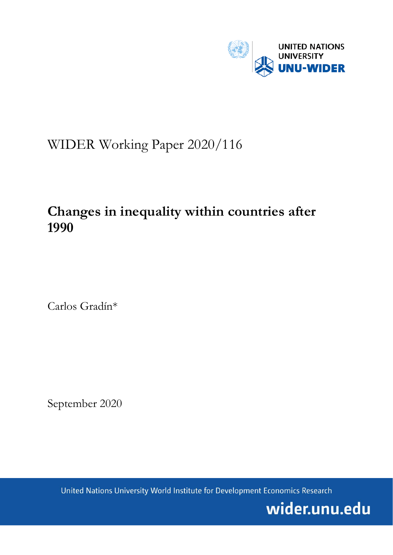

# WIDER Working Paper 2020/116

## **Changes in inequality within countries after 1990**

Carlos Gradín\*

September 2020

United Nations University World Institute for Development Economics Research

wider.unu.edu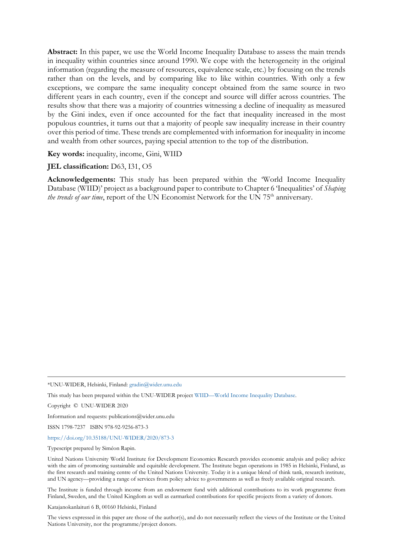**Abstract:** In this paper, we use the World Income Inequality Database to assess the main trends in inequality within countries since around 1990. We cope with the heterogeneity in the original information (regarding the measure of resources, equivalence scale, etc.) by focusing on the trends rather than on the levels, and by comparing like to like within countries. With only a few exceptions, we compare the same inequality concept obtained from the same source in two different years in each country, even if the concept and source will differ across countries. The results show that there was a majority of countries witnessing a decline of inequality as measured by the Gini index, even if once accounted for the fact that inequality increased in the most populous countries, it turns out that a majority of people saw inequality increase in their country over this period of time. These trends are complemented with information for inequality in income and wealth from other sources, paying special attention to the top of the distribution.

**Key words:** inequality, income, Gini, WIID

**JEL classification:** D63, I31, O5

**Acknowledgements:** This study has been prepared within the 'World Income Inequality Database (WIID)' project as a background paper to contribute to Chapter 6 'Inequalities' of *Shaping the trends of our time*, report of the UN Economist Network for the UN 75<sup>th</sup> anniversary.

\*UNU-WIDER, Helsinki, Finland: [gradin@wider.unu.edu](mailto:gradin@wider.unu.edu)

This study has been prepared within the UNU-WIDER projec[t WIID—World Income Inequality Database.](https://www.wider.unu.edu/node/8279)

Copyright © UNU-WIDER 2020

Information and requests: publications@wider.unu.edu

ISSN 1798-7237 ISBN 978-92-9256-873-3

<https://doi.org/10.35188/UNU-WIDER/2020/873-3>

Typescript prepared by Siméon Rapin.

United Nations University World Institute for Development Economics Research provides economic analysis and policy advice with the aim of promoting sustainable and equitable development. The Institute began operations in 1985 in Helsinki, Finland, as the first research and training centre of the United Nations University. Today it is a unique blend of think tank, research institute, and UN agency—providing a range of services from policy advice to governments as well as freely available original research.

The Institute is funded through income from an endowment fund with additional contributions to its work programme from Finland, Sweden, and the United Kingdom as well as earmarked contributions for specific projects from a variety of donors.

Katajanokanlaituri 6 B, 00160 Helsinki, Finland

The views expressed in this paper are those of the author(s), and do not necessarily reflect the views of the Institute or the United Nations University, nor the programme/project donors.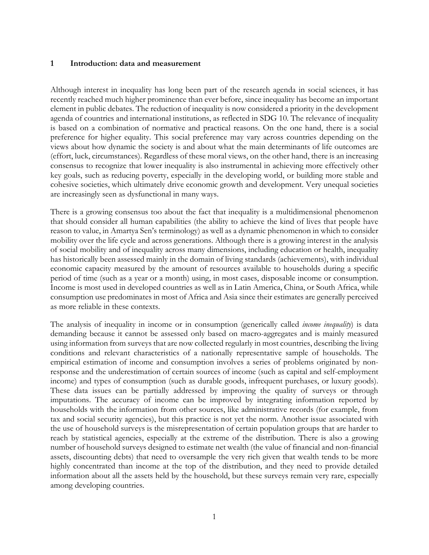#### **1 Introduction: data and measurement**

Although interest in inequality has long been part of the research agenda in social sciences, it has recently reached much higher prominence than ever before, since inequality has become an important element in public debates. The reduction of inequality is now considered a priority in the development agenda of countries and international institutions, as reflected in SDG 10. The relevance of inequality is based on a combination of normative and practical reasons. On the one hand, there is a social preference for higher equality. This social preference may vary across countries depending on the views about how dynamic the society is and about what the main determinants of life outcomes are (effort, luck, circumstances). Regardless of these moral views, on the other hand, there is an increasing consensus to recognize that lower inequality is also instrumental in achieving more effectively other key goals, such as reducing poverty, especially in the developing world, or building more stable and cohesive societies, which ultimately drive economic growth and development. Very unequal societies are increasingly seen as dysfunctional in many ways.

There is a growing consensus too about the fact that inequality is a multidimensional phenomenon that should consider all human capabilities (the ability to achieve the kind of lives that people have reason to value, in Amartya Sen's terminology) as well as a dynamic phenomenon in which to consider mobility over the life cycle and across generations. Although there is a growing interest in the analysis of social mobility and of inequality across many dimensions, including education or health, inequality has historically been assessed mainly in the domain of living standards (achievements), with individual economic capacity measured by the amount of resources available to households during a specific period of time (such as a year or a month) using, in most cases, disposable income or consumption. Income is most used in developed countries as well as in Latin America, China, or South Africa, while consumption use predominates in most of Africa and Asia since their estimates are generally perceived as more reliable in these contexts.

The analysis of inequality in income or in consumption (generically called *income inequality*) is data demanding because it cannot be assessed only based on macro-aggregates and is mainly measured using information from surveys that are now collected regularly in most countries, describing the living conditions and relevant characteristics of a nationally representative sample of households. The empirical estimation of income and consumption involves a series of problems originated by nonresponse and the underestimation of certain sources of income (such as capital and self-employment income) and types of consumption (such as durable goods, infrequent purchases, or luxury goods). These data issues can be partially addressed by improving the quality of surveys or through imputations. The accuracy of income can be improved by integrating information reported by households with the information from other sources, like administrative records (for example, from tax and social security agencies), but this practice is not yet the norm. Another issue associated with the use of household surveys is the misrepresentation of certain population groups that are harder to reach by statistical agencies, especially at the extreme of the distribution. There is also a growing number of household surveys designed to estimate net wealth (the value of financial and non-financial assets, discounting debts) that need to oversample the very rich given that wealth tends to be more highly concentrated than income at the top of the distribution, and they need to provide detailed information about all the assets held by the household, but these surveys remain very rare, especially among developing countries.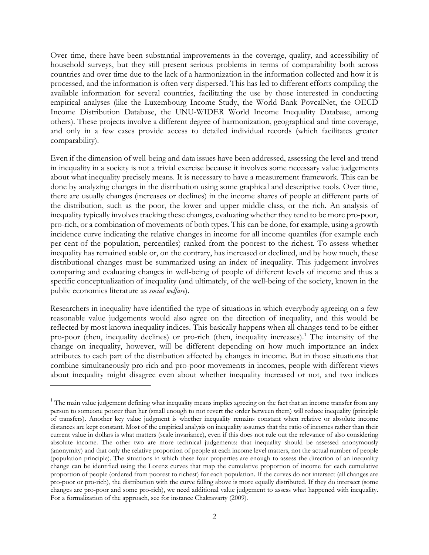Over time, there have been substantial improvements in the coverage, quality, and accessibility of household surveys, but they still present serious problems in terms of comparability both across countries and over time due to the lack of a harmonization in the information collected and how it is processed, and the information is often very dispersed. This has led to different efforts compiling the available information for several countries, facilitating the use by those interested in conducting empirical analyses (like the Luxembourg Income Study, the World Bank PovcalNet, the OECD Income Distribution Database, the UNU-WIDER World Income Inequality Database, among others). These projects involve a different degree of harmonization, geographical and time coverage, and only in a few cases provide access to detailed individual records (which facilitates greater comparability).

Even if the dimension of well-being and data issues have been addressed, assessing the level and trend in inequality in a society is not a trivial exercise because it involves some necessary value judgements about what inequality precisely means. It is necessary to have a measurement framework. This can be done by analyzing changes in the distribution using some graphical and descriptive tools. Over time, there are usually changes (increases or declines) in the income shares of people at different parts of the distribution, such as the poor, the lower and upper middle class, or the rich. An analysis of inequality typically involves tracking these changes, evaluating whether they tend to be more pro-poor, pro-rich, or a combination of movements of both types. This can be done, for example, using a growth incidence curve indicating the relative changes in income for all income quantiles (for example each per cent of the population, percentiles) ranked from the poorest to the richest. To assess whether inequality has remained stable or, on the contrary, has increased or declined, and by how much, these distributional changes must be summarized using an index of inequality. This judgement involves comparing and evaluating changes in well-being of people of different levels of income and thus a specific conceptualization of inequality (and ultimately, of the well-being of the society, known in the public economics literature as *social welfare*).

Researchers in inequality have identified the type of situations in which everybody agreeing on a few reasonable value judgements would also agree on the direction of inequality, and this would be reflected by most known inequality indices. This basically happens when all changes tend to be either pro-poor (then, inequality declines) or pro-rich (then, inequality increases).<sup>[1](#page-3-0)</sup> The intensity of the change on inequality, however, will be different depending on how much importance an index attributes to each part of the distribution affected by changes in income. But in those situations that combine simultaneously pro-rich and pro-poor movements in incomes, people with different views about inequality might disagree even about whether inequality increased or not, and two indices

<span id="page-3-0"></span> $1$ . The main value judgement defining what inequality means implies agreeing on the fact that an income transfer from any person to someone poorer than her (small enough to not revert the order between them) will reduce inequality (principle of transfers). Another key value judgment is whether inequality remains constant when relative or absolute income distances are kept constant. Most of the empirical analysis on inequality assumes that the ratio of incomes rather than their current value in dollars is what matters (scale invariance), even if this does not rule out the relevance of also considering absolute income. The other two are more technical judgements: that inequality should be assessed anonymously (anonymity) and that only the relative proportion of people at each income level matters, not the actual number of people (population principle). The situations in which these four properties are enough to assess the direction of an inequality change can be identified using the Lorenz curves that map the cumulative proportion of income for each cumulative proportion of people (ordered from poorest to richest) for each population. If the curves do not intersect (all changes are pro-poor or pro-rich), the distribution with the curve falling above is more equally distributed. If they do intersect (some changes are pro-poor and some pro-rich), we need additional value judgement to assess what happened with inequality. For a formalization of the approach, see for instance Chakravarty (2009).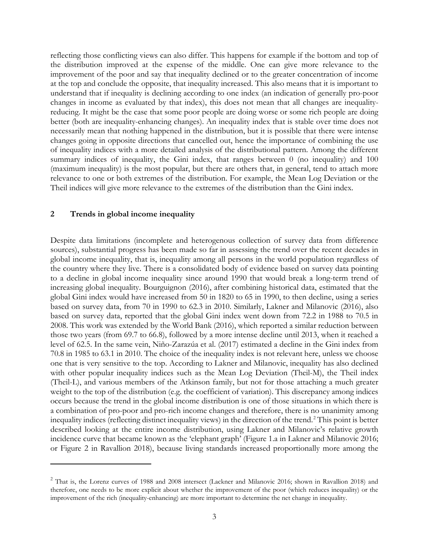reflecting those conflicting views can also differ. This happens for example if the bottom and top of the distribution improved at the expense of the middle. One can give more relevance to the improvement of the poor and say that inequality declined or to the greater concentration of income at the top and conclude the opposite, that inequality increased. This also means that it is important to understand that if inequality is declining according to one index (an indication of generally pro-poor changes in income as evaluated by that index), this does not mean that all changes are inequalityreducing. It might be the case that some poor people are doing worse or some rich people are doing better (both are inequality-enhancing changes). An inequality index that is stable over time does not necessarily mean that nothing happened in the distribution, but it is possible that there were intense changes going in opposite directions that cancelled out, hence the importance of combining the use of inequality indices with a more detailed analysis of the distributional pattern. Among the different summary indices of inequality, the Gini index, that ranges between 0 (no inequality) and 100 (maximum inequality) is the most popular, but there are others that, in general, tend to attach more relevance to one or both extremes of the distribution. For example, the Mean Log Deviation or the Theil indices will give more relevance to the extremes of the distribution than the Gini index.

#### **2 Trends in global income inequality**

Despite data limitations (incomplete and heterogenous collection of survey data from difference sources), substantial progress has been made so far in assessing the trend over the recent decades in global income inequality, that is, inequality among all persons in the world population regardless of the country where they live. There is a consolidated body of evidence based on survey data pointing to a decline in global income inequality since around 1990 that would break a long-term trend of increasing global inequality. Bourguignon (2016), after combining historical data, estimated that the global Gini index would have increased from 50 in 1820 to 65 in 1990, to then decline, using a series based on survey data, from 70 in 1990 to 62.3 in 2010. Similarly, Lakner and Milanovic (2016), also based on survey data, reported that the global Gini index went down from 72.2 in 1988 to 70.5 in 2008. This work was extended by the World Bank (2016), which reported a similar reduction between those two years (from 69.7 to 66.8), followed by a more intense decline until 2013, when it reached a level of 62.5. In the same vein, Niño-Zarazúa et al. (2017) estimated a decline in the Gini index from 70.8 in 1985 to 63.1 in 2010. The choice of the inequality index is not relevant here, unless we choose one that is very sensitive to the top. According to Lakner and Milanovic, inequality has also declined with other popular inequality indices such as the Mean Log Deviation (Theil-M), the Theil index (Theil-L), and various members of the Atkinson family, but not for those attaching a much greater weight to the top of the distribution (e.g. the coefficient of variation). This discrepancy among indices occurs because the trend in the global income distribution is one of those situations in which there is a combination of pro-poor and pro-rich income changes and therefore, there is no unanimity among inequality indices (reflecting distinct inequality views) in the direction of the trend.<sup>[2](#page-4-0)</sup> This point is better described looking at the entire income distribution, using Lakner and Milanovic's relative growth incidence curve that became known as the 'elephant graph' (Figure 1.a in Lakner and Milanovic 2016; or Figure 2 in Ravallion 2018), because living standards increased proportionally more among the

<span id="page-4-0"></span><sup>&</sup>lt;sup>2</sup> That is, the Lorenz curves of 1988 and 2008 intersect (Lackner and Milanovic 2016; shown in Ravallion 2018) and therefore, one needs to be more explicit about whether the improvement of the poor (which reduces inequality) or the improvement of the rich (inequality-enhancing) are more important to determine the net change in inequality.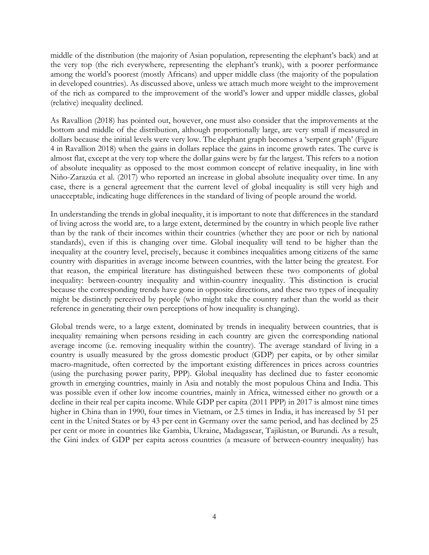middle of the distribution (the majority of Asian population, representing the elephant's back) and at the very top (the rich everywhere, representing the elephant's trunk), with a poorer performance among the world's poorest (mostly Africans) and upper middle class (the majority of the population in developed countries). As discussed above, unless we attach much more weight to the improvement of the rich as compared to the improvement of the world's lower and upper middle classes, global (relative) inequality declined.

As Ravallion (2018) has pointed out, however, one must also consider that the improvements at the bottom and middle of the distribution, although proportionally large, are very small if measured in dollars because the initial levels were very low. The elephant graph becomes a 'serpent graph' (Figure 4 in Ravallion 2018) when the gains in dollars replace the gains in income growth rates. The curve is almost flat, except at the very top where the dollar gains were by far the largest. This refers to a notion of absolute inequality as opposed to the most common concept of relative inequality, in line with Niño-Zarazúa et al. (2017) who reported an increase in global absolute inequality over time. In any case, there is a general agreement that the current level of global inequality is still very high and unacceptable, indicating huge differences in the standard of living of people around the world.

In understanding the trends in global inequality, it is important to note that differences in the standard of living across the world are, to a large extent, determined by the country in which people live rather than by the rank of their incomes within their countries (whether they are poor or rich by national standards), even if this is changing over time. Global inequality will tend to be higher than the inequality at the country level, precisely, because it combines inequalities among citizens of the same country with disparities in average income between countries, with the latter being the greatest. For that reason, the empirical literature has distinguished between these two components of global inequality: between-country inequality and within-country inequality. This distinction is crucial because the corresponding trends have gone in opposite directions, and these two types of inequality might be distinctly perceived by people (who might take the country rather than the world as their reference in generating their own perceptions of how inequality is changing).

Global trends were, to a large extent, dominated by trends in inequality between countries, that is inequality remaining when persons residing in each country are given the corresponding national average income (i.e. removing inequality within the country). The average standard of living in a country is usually measured by the gross domestic product (GDP) per capita, or by other similar macro-magnitude, often corrected by the important existing differences in prices across countries (using the purchasing power parity, PPP). Global inequality has declined due to faster economic growth in emerging countries, mainly in Asia and notably the most populous China and India. This was possible even if other low income countries, mainly in Africa, witnessed either no growth or a decline in their real per capita income. While GDP per capita (2011 PPP) in 2017 is almost nine times higher in China than in 1990, four times in Vietnam, or 2.5 times in India, it has increased by 51 per cent in the United States or by 43 per cent in Germany over the same period, and has declined by 25 per cent or more in countries like Gambia, Ukraine, Madagascar, Tajikistan, or Burundi. As a result, the Gini index of GDP per capita across countries (a measure of between-country inequality) has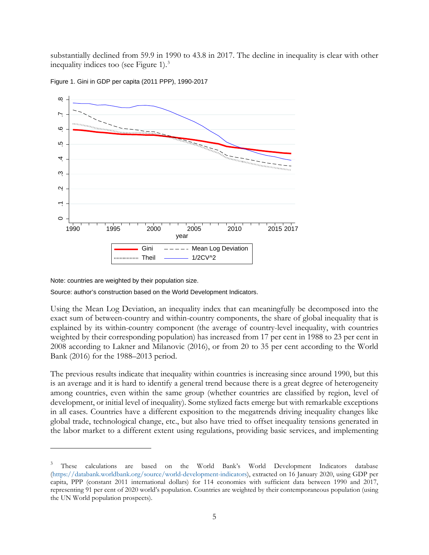substantially declined from 59.9 in 1990 to 43.8 in 2017. The decline in inequality is clear with other inequality indices too (see Figure 1). $3$ 



Figure 1. Gini in GDP per capita (2011 PPP), 1990-2017

Note: countries are weighted by their population size.

Source: author's construction based on the World Development Indicators.

Using the Mean Log Deviation, an inequality index that can meaningfully be decomposed into the exact sum of between-country and within-country components, the share of global inequality that is explained by its within-country component (the average of country-level inequality, with countries weighted by their corresponding population) has increased from 17 per cent in 1988 to 23 per cent in 2008 according to Lakner and Milanovic (2016), or from 20 to 35 per cent according to the World Bank (2016) for the 1988–2013 period.

The previous results indicate that inequality within countries is increasing since around 1990, but this is an average and it is hard to identify a general trend because there is a great degree of heterogeneity among countries, even within the same group (whether countries are classified by region, level of development, or initial level of inequality). Some stylized facts emerge but with remarkable exceptions in all cases. Countries have a different exposition to the megatrends driving inequality changes like global trade, technological change, etc., but also have tried to offset inequality tensions generated in the labor market to a different extent using regulations, providing basic services, and implementing

<span id="page-6-0"></span><sup>&</sup>lt;sup>3</sup> These calculations are based on the World Bank's World Development Indicators database [\(https://databank.worldbank.org/source/world-development-indicators\)](https://databank.worldbank.org/source/world-development-indicators), extracted on 16 January 2020, using GDP per capita, PPP (constant 2011 international dollars) for 114 economies with sufficient data between 1990 and 2017, representing 91 per cent of 2020 world's population. Countries are weighted by their contemporaneous population (using the UN World population prospects).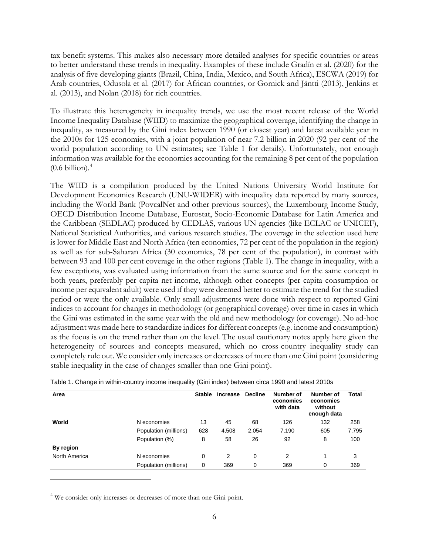tax-benefit systems. This makes also necessary more detailed analyses for specific countries or areas to better understand these trends in inequality. Examples of these include Gradín et al. (2020) for the analysis of five developing giants (Brazil, China, India, Mexico, and South Africa), ESCWA (2019) for Arab countries, Odusola et al. (2017) for African countries, or Gornick and Jäntti (2013), Jenkins et al. (2013), and Nolan (2018) for rich countries.

To illustrate this heterogeneity in inequality trends, we use the most recent release of the World Income Inequality Database (WIID) to maximize the geographical coverage, identifying the change in inequality, as measured by the Gini index between 1990 (or closest year) and latest available year in the 2010s for 125 economies, with a joint population of near 7.2 billion in 2020 (92 per cent of the world population according to UN estimates; see Table 1 for details). Unfortunately, not enough information was available for the economies accounting for the remaining 8 per cent of the population  $(0.6 \text{ billion})$ .<sup>[4](#page-7-0)</sup>

The WIID is a compilation produced by the United Nations University World Institute for Development Economics Research (UNU-WIDER) with inequality data reported by many sources, including the World Bank (PovcalNet and other previous sources), the Luxembourg Income Study, OECD Distribution Income Database, Eurostat, Socio-Economic Database for Latin America and the Caribbean (SEDLAC) produced by CEDLAS, various UN agencies (like ECLAC or UNICEF), National Statistical Authorities, and various research studies. The coverage in the selection used here is lower for Middle East and North Africa (ten economies, 72 per cent of the population in the region) as well as for sub-Saharan Africa (30 economies, 78 per cent of the population), in contrast with between 93 and 100 per cent coverage in the other regions (Table 1). The change in inequality, with a few exceptions, was evaluated using information from the same source and for the same concept in both years, preferably per capita net income, although other concepts (per capita consumption or income per equivalent adult) were used if they were deemed better to estimate the trend for the studied period or were the only available. Only small adjustments were done with respect to reported Gini indices to account for changes in methodology (or geographical coverage) over time in cases in which the Gini was estimated in the same year with the old and new methodology (or coverage). No ad-hoc adjustment was made here to standardize indices for different concepts (e.g. income and consumption) as the focus is on the trend rather than on the level. The usual cautionary notes apply here given the heterogeneity of sources and concepts measured, which no cross-country inequality study can completely rule out. We consider only increases or decreases of more than one Gini point (considering stable inequality in the case of changes smaller than one Gini point).

| Area          |                       | <b>Stable</b> | <b>Increase</b> | <b>Decline</b> | Number of<br>economies<br>with data | Number of<br>economies<br>without<br>enough data | Total |
|---------------|-----------------------|---------------|-----------------|----------------|-------------------------------------|--------------------------------------------------|-------|
| World         | N economies           | 13            | 45              | 68             | 126                                 | 132                                              | 258   |
|               | Population (millions) | 628           | 4,508           | 2,054          | 7,190                               | 605                                              | 7,795 |
|               | Population (%)        | 8             | 58              | 26             | 92                                  | 8                                                | 100   |
| By region     |                       |               |                 |                |                                     |                                                  |       |
| North America | N economies           | 0             | 2               | 0              | 2                                   |                                                  | 3     |
|               | Population (millions) | 0             | 369             | 0              | 369                                 | 0                                                | 369   |

Table 1. Change in within-country income inequality (Gini index) between circa 1990 and latest 2010s

<span id="page-7-0"></span><sup>4</sup> We consider only increases or decreases of more than one Gini point.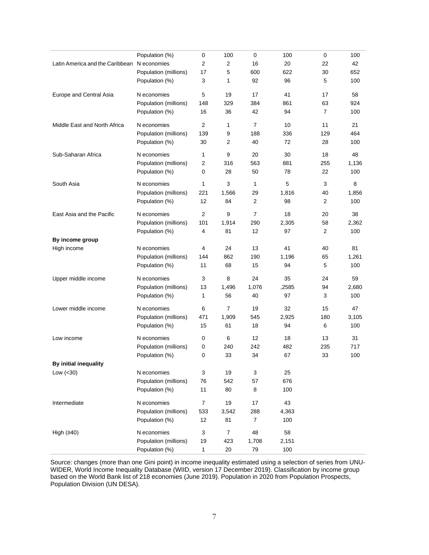|                                 | Population (%)        | 0              | 100            | 0              | 100   | 0              | 100   |
|---------------------------------|-----------------------|----------------|----------------|----------------|-------|----------------|-------|
| Latin America and the Caribbean | N economies           | 2              | 2              | 16             | 20    | 22             | 42    |
|                                 | Population (millions) | 17             | 5              | 600            | 622   | 30             | 652   |
|                                 | Population (%)        | 3              | 1              | 92             | 96    | 5              | 100   |
| Europe and Central Asia         | N economies           | 5              | 19             | 17             | 41    | 17             | 58    |
|                                 | Population (millions) | 148            | 329            | 384            | 861   | 63             | 924   |
|                                 | Population (%)        | 16             | 36             | 42             | 94    | $\overline{7}$ | 100   |
| Middle East and North Africa    | N economies           | $\overline{2}$ | 1              | $\overline{7}$ | 10    | 11             | 21    |
|                                 | Population (millions) | 139            | 9              | 188            | 336   | 129            | 464   |
|                                 | Population (%)        | 30             | $\overline{c}$ | 40             | 72    | 28             | 100   |
| Sub-Saharan Africa              | N economies           | 1              | 9              | 20             | 30    | 18             | 48    |
|                                 | Population (millions) | 2              | 316            | 563            | 881   | 255            | 1,136 |
|                                 | Population (%)        | 0              | 28             | 50             | 78    | 22             | 100   |
| South Asia                      | N economies           | 1              | 3              | $\mathbf{1}$   | 5     | 3              | 8     |
|                                 | Population (millions) | 221            | 1,566          | 29             | 1,816 | 40             | 1,856 |
|                                 | Population (%)        | 12             | 84             | 2              | 98    | 2              | 100   |
| East Asia and the Pacific       | N economies           | $\mathbf{2}$   | 9              | $\overline{7}$ | 18    | 20             | 38    |
|                                 | Population (millions) | 101            | 1,914          | 290            | 2,305 | 58             | 2,362 |
|                                 | Population (%)        | 4              | 81             | 12             | 97    | $\overline{2}$ | 100   |
| By income group                 |                       |                |                |                |       |                |       |
| High income                     | N economies           | 4              | 24             | 13             | 41    | 40             | 81    |
|                                 | Population (millions) | 144            | 862            | 190            | 1,196 | 65             | 1,261 |
|                                 | Population (%)        | 11             | 68             | 15             | 94    | 5              | 100   |
| Upper middle income             | N economies           | 3              | 8              | 24             | 35    | 24             | 59    |
|                                 | Population (millions) | 13             | 1,496          | 1,076          | ,2585 | 94             | 2,680 |
|                                 | Population (%)        | 1              | 56             | 40             | 97    | 3              | 100   |
| Lower middle income             | N economies           | 6              | 7              | 19             | 32    | 15             | 47    |
|                                 | Population (millions) | 471            | 1,909          | 545            | 2,925 | 180            | 3,105 |
|                                 | Population (%)        | 15             | 61             | 18             | 94    | 6              | 100   |
| Low income                      | N economies           | 0              | 6              | 12             | 18    | 13             | 31    |
|                                 | Population (millions) | 0              | 240            | 242            | 482   | 235            | 717   |
|                                 | Population (%)        | 0              | 33             | 34             | 67    | 33             | 100   |
| By initial inequality           |                       |                |                |                |       |                |       |
| Low $(30)$                      | N economies           | 3              | 19             | 3              | 25    |                |       |
|                                 | Population (millions) | 76             | 542            | 57             | 676   |                |       |
|                                 | Population (%)        | 11             | 80             | 8              | 100   |                |       |
| Intermediate                    | N economies           | $\overline{7}$ | 19             | 17             | 43    |                |       |
|                                 | Population (millions) | 533            | 3,542          | 288            | 4,363 |                |       |
|                                 | Population (%)        | 12             | 81             | $\overline{7}$ | 100   |                |       |
| High $(≥40)$                    | N economies           | 3              | $\overline{7}$ | 48             | 58    |                |       |
|                                 | Population (millions) | 19             | 423            | 1,708          | 2,151 |                |       |
|                                 | Population (%)        | $\mathbf{1}$   | 20             | 79             | 100   |                |       |

Source: changes (more than one Gini point) in income inequality estimated using a selection of series from UNU-WIDER, World Income Inequality Database (WIID, version 17 December 2019). Classification by income group based on the World Bank list of 218 economies (June 2019). Population in 2020 from Population Prospects, Population Division (UN DESA).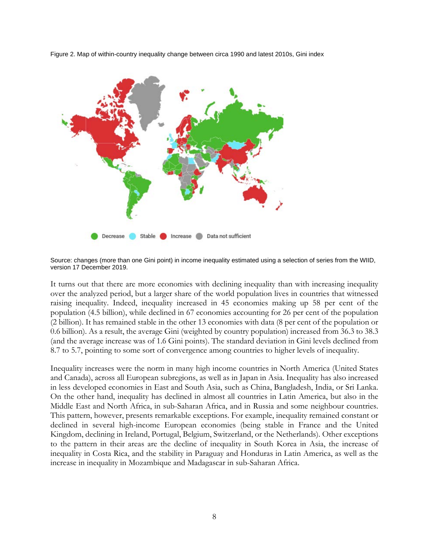Figure 2. Map of within-country inequality change between circa 1990 and latest 2010s, Gini index



Source: changes (more than one Gini point) in income inequality estimated using a selection of series from the WIID, version 17 December 2019.

It turns out that there are more economies with declining inequality than with increasing inequality over the analyzed period, but a larger share of the world population lives in countries that witnessed raising inequality. Indeed, inequality increased in 45 economies making up 58 per cent of the population (4.5 billion), while declined in 67 economies accounting for 26 per cent of the population (2 billion). It has remained stable in the other 13 economies with data (8 per cent of the population or 0.6 billion). As a result, the average Gini (weighted by country population) increased from 36.3 to 38.3 (and the average increase was of 1.6 Gini points). The standard deviation in Gini levels declined from 8.7 to 5.7, pointing to some sort of convergence among countries to higher levels of inequality.

Inequality increases were the norm in many high income countries in North America (United States and Canada), across all European subregions, as well as in Japan in Asia. Inequality has also increased in less developed economies in East and South Asia, such as China, Bangladesh, India, or Sri Lanka. On the other hand, inequality has declined in almost all countries in Latin America, but also in the Middle East and North Africa, in sub-Saharan Africa, and in Russia and some neighbour countries. This pattern, however, presents remarkable exceptions. For example, inequality remained constant or declined in several high-income European economies (being stable in France and the United Kingdom, declining in Ireland, Portugal, Belgium, Switzerland, or the Netherlands). Other exceptions to the pattern in their areas are the decline of inequality in South Korea in Asia, the increase of inequality in Costa Rica, and the stability in Paraguay and Honduras in Latin America, as well as the increase in inequality in Mozambique and Madagascar in sub-Saharan Africa.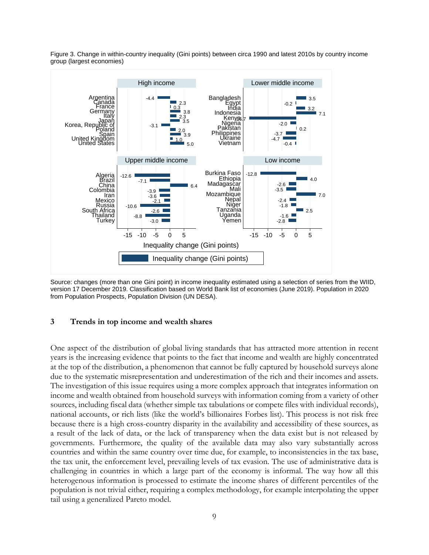

Figure 3. Change in within-country inequality (Gini points) between circa 1990 and latest 2010s by country income group (largest economies)

Source: changes (more than one Gini point) in income inequality estimated using a selection of series from the WIID, version 17 December 2019. Classification based on World Bank list of economies (June 2019). Population in 2020 from Population Prospects, Population Division (UN DESA).

#### **3 Trends in top income and wealth shares**

One aspect of the distribution of global living standards that has attracted more attention in recent years is the increasing evidence that points to the fact that income and wealth are highly concentrated at the top of the distribution, a phenomenon that cannot be fully captured by household surveys alone due to the systematic misrepresentation and underestimation of the rich and their incomes and assets. The investigation of this issue requires using a more complex approach that integrates information on income and wealth obtained from household surveys with information coming from a variety of other sources, including fiscal data (whether simple tax tabulations or compete files with individual records), national accounts, or rich lists (like the world's billionaires Forbes list). This process is not risk free because there is a high cross-country disparity in the availability and accessibility of these sources, as a result of the lack of data, or the lack of transparency when the data exist but is not released by governments. Furthermore, the quality of the available data may also vary substantially across countries and within the same country over time due, for example, to inconsistencies in the tax base, the tax unit, the enforcement level, prevailing levels of tax evasion. The use of administrative data is challenging in countries in which a large part of the economy is informal. The way how all this heterogenous information is processed to estimate the income shares of different percentiles of the population is not trivial either, requiring a complex methodology, for example interpolating the upper tail using a generalized Pareto model.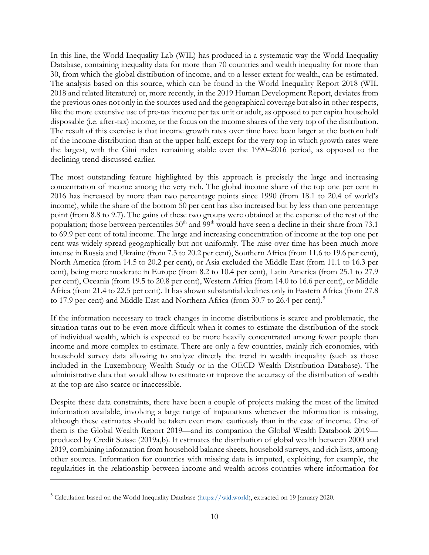In this line, the World Inequality Lab (WIL) has produced in a systematic way the World Inequality Database, containing inequality data for more than 70 countries and wealth inequality for more than 30, from which the global distribution of income, and to a lesser extent for wealth, can be estimated. The analysis based on this source, which can be found in the World Inequality Report 2018 (WIL 2018 and related literature) or, more recently, in the 2019 Human Development Report, deviates from the previous ones not only in the sources used and the geographical coverage but also in other respects, like the more extensive use of pre-tax income per tax unit or adult, as opposed to per capita household disposable (i.e. after-tax) income, or the focus on the income shares of the very top of the distribution. The result of this exercise is that income growth rates over time have been larger at the bottom half of the income distribution than at the upper half, except for the very top in which growth rates were the largest, with the Gini index remaining stable over the 1990–2016 period, as opposed to the declining trend discussed earlier.

The most outstanding feature highlighted by this approach is precisely the large and increasing concentration of income among the very rich. The global income share of the top one per cent in 2016 has increased by more than two percentage points since 1990 (from 18.1 to 20.4 of world's income), while the share of the bottom 50 per cent has also increased but by less than one percentage point (from 8.8 to 9.7). The gains of these two groups were obtained at the expense of the rest of the population; those between percentiles 50<sup>th</sup> and 99<sup>th</sup> would have seen a decline in their share from 73.1 to 69.9 per cent of total income. The large and increasing concentration of income at the top one per cent was widely spread geographically but not uniformly. The raise over time has been much more intense in Russia and Ukraine (from 7.3 to 20.2 per cent), Southern Africa (from 11.6 to 19.6 per cent), North America (from 14.5 to 20.2 per cent), or Asia excluded the Middle East (from 11.1 to 16.3 per cent), being more moderate in Europe (from 8.2 to 10.4 per cent), Latin America (from 25.1 to 27.9 per cent), Oceania (from 19.5 to 20.8 per cent), Western Africa (from 14.0 to 16.6 per cent), or Middle Africa (from 21.4 to 22.5 per cent). It has shown substantial declines only in Eastern Africa (from 27.8 to 17.9 per cent) and Middle East and Northern Africa (from 30.7 to 26.4 per cent).<sup>[5](#page-11-0)</sup>

If the information necessary to track changes in income distributions is scarce and problematic, the situation turns out to be even more difficult when it comes to estimate the distribution of the stock of individual wealth, which is expected to be more heavily concentrated among fewer people than income and more complex to estimate. There are only a few countries, mainly rich economies, with household survey data allowing to analyze directly the trend in wealth inequality (such as those included in the Luxembourg Wealth Study or in the OECD Wealth Distribution Database). The administrative data that would allow to estimate or improve the accuracy of the distribution of wealth at the top are also scarce or inaccessible.

Despite these data constraints, there have been a couple of projects making the most of the limited information available, involving a large range of imputations whenever the information is missing, although these estimates should be taken even more cautiously than in the case of income. One of them is the Global Wealth Report 2019—and its companion the Global Wealth Databook 2019 produced by Credit Suisse (2019a,b). It estimates the distribution of global wealth between 2000 and 2019, combining information from household balance sheets, household surveys, and rich lists, among other sources. Information for countries with missing data is imputed, exploiting, for example, the regularities in the relationship between income and wealth across countries where information for

<span id="page-11-0"></span><sup>5</sup> Calculation based on the World Inequality Database [\(https://wid.world\)](https://wid.world/), extracted on 19 January 2020.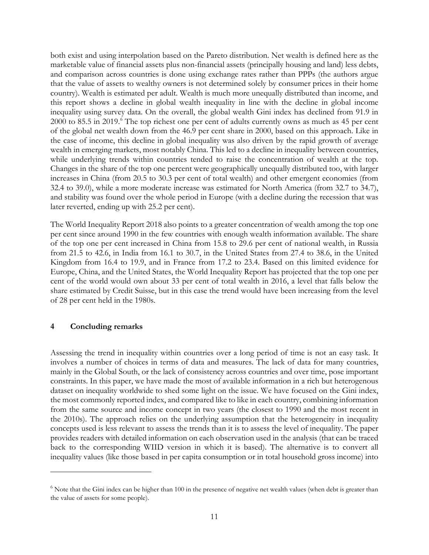both exist and using interpolation based on the Pareto distribution. Net wealth is defined here as the marketable value of financial assets plus non-financial assets (principally housing and land) less debts, and comparison across countries is done using exchange rates rather than PPPs (the authors argue that the value of assets to wealthy owners is not determined solely by consumer prices in their home country). Wealth is estimated per adult. Wealth is much more unequally distributed than income, and this report shows a decline in global wealth inequality in line with the decline in global income inequality using survey data. On the overall, the global wealth Gini index has declined from 91.9 in 2000 to 85.5 in 2019.<sup>[6](#page-12-0)</sup> The top richest one per cent of adults currently owns as much as 45 per cent of the global net wealth down from the 46.9 per cent share in 2000, based on this approach. Like in the case of income, this decline in global inequality was also driven by the rapid growth of average wealth in emerging markets, most notably China. This led to a decline in inequality between countries, while underlying trends within countries tended to raise the concentration of wealth at the top. Changes in the share of the top one percent were geographically unequally distributed too, with larger increases in China (from 20.5 to 30.3 per cent of total wealth) and other emergent economies (from 32.4 to 39.0), while a more moderate increase was estimated for North America (from 32.7 to 34.7), and stability was found over the whole period in Europe (with a decline during the recession that was later reverted, ending up with 25.2 per cent).

The World Inequality Report 2018 also points to a greater concentration of wealth among the top one per cent since around 1990 in the few countries with enough wealth information available. The share of the top one per cent increased in China from 15.8 to 29.6 per cent of national wealth, in Russia from 21.5 to 42.6, in India from 16.1 to 30.7, in the United States from 27.4 to 38.6, in the United Kingdom from 16.4 to 19.9, and in France from 17.2 to 23.4. Based on this limited evidence for Europe, China, and the United States, the World Inequality Report has projected that the top one per cent of the world would own about 33 per cent of total wealth in 2016, a level that falls below the share estimated by Credit Suisse, but in this case the trend would have been increasing from the level of 28 per cent held in the 1980s.

#### **4 Concluding remarks**

Assessing the trend in inequality within countries over a long period of time is not an easy task. It involves a number of choices in terms of data and measures. The lack of data for many countries, mainly in the Global South, or the lack of consistency across countries and over time, pose important constraints. In this paper, we have made the most of available information in a rich but heterogenous dataset on inequality worldwide to shed some light on the issue. We have focused on the Gini index, the most commonly reported index, and compared like to like in each country, combining information from the same source and income concept in two years (the closest to 1990 and the most recent in the 2010s). The approach relies on the underlying assumption that the heterogeneity in inequality concepts used is less relevant to assess the trends than it is to assess the level of inequality. The paper provides readers with detailed information on each observation used in the analysis (that can be traced back to the corresponding WIID version in which it is based). The alternative is to convert all inequality values (like those based in per capita consumption or in total household gross income) into

<span id="page-12-0"></span> $6$  Note that the Gini index can be higher than 100 in the presence of negative net wealth values (when debt is greater than the value of assets for some people).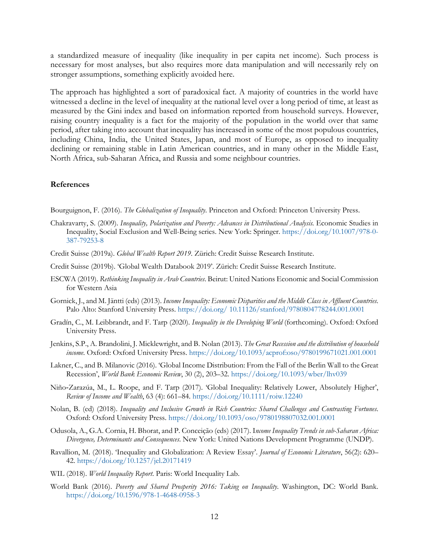a standardized measure of inequality (like inequality in per capita net income). Such process is necessary for most analyses, but also requires more data manipulation and will necessarily rely on stronger assumptions, something explicitly avoided here.

The approach has highlighted a sort of paradoxical fact. A majority of countries in the world have witnessed a decline in the level of inequality at the national level over a long period of time, at least as measured by the Gini index and based on information reported from household surveys. However, raising country inequality is a fact for the majority of the population in the world over that same period, after taking into account that inequality has increased in some of the most populous countries, including China, India, the United States, Japan, and most of Europe, as opposed to inequality declining or remaining stable in Latin American countries, and in many other in the Middle East, North Africa, sub-Saharan Africa, and Russia and some neighbour countries.

#### **References**

Bourguignon, F. (2016). *The Globalization of Inequality*. Princeton and Oxford: Princeton University Press.

- Chakravarty, S. (2009). *Inequality, Polarization and Poverty: Advances in Distributional Analysis.* Economic Studies in Inequality, Social Exclusion and Well-Being series. New York: Springer. [https://doi.org/10.1007/978-0-](https://doi.org/10.1007/978-0-387-79253-8) [387-79253-8](https://doi.org/10.1007/978-0-387-79253-8)
- Credit Suisse (2019a). *Global Wealth Report 2019*. Zürich: Credit Suisse Research Institute.
- Credit Suisse (2019b). 'Global Wealth Databook 2019'. Zürich: Credit Suisse Research Institute.
- ESCWA (2019). *Rethinking Inequality in Arab Countries*. Beirut: United Nations Economic and Social Commission for Western Asia
- Gornick, J., and M. Jäntti (eds) (2013). *Income Inequality: Economic Disparities and the Middle Class in Affluent Countries*. Palo Alto: Stanford University Press. [https://doi.org/ 10.11126/stanford/9780804778244.001.0001](https://doi.org/%2010.11126/stanford/9780804778244.001.0001)
- Gradín, C., M. Leibbrandt, and F. Tarp (2020). *Inequality in the Developing World* (forthcoming). Oxford: Oxford University Press.
- Jenkins, S.P., A. Brandolini, J. Micklewright, and B. Nolan (2013). *The Great Recession and the distribution of household income*. Oxford: Oxford University Press.<https://doi.org/10.1093/acprof:oso/9780199671021.001.0001>
- Lakner, C., and B. Milanovic (2016). 'Global Income Distribution: From the Fall of the Berlin Wall to the Great Recession', *World Bank Economic Review*, 30 (2), 203–32.<https://doi.org/10.1093/wber/lhv039>
- Niño‐Zarazúa, M., L. Roope, and F. Tarp (2017). 'Global Inequality: Relatively Lower, Absolutely Higher', *Review of Income and Wealth*, 63 (4): 661–84.<https://doi.org/10.1111/roiw.12240>
- Nolan, B. (ed) (2018). *Inequality and Inclusive Growth in Rich Countries: Shared Challenges and Contrasting Fortunes*. Oxford: Oxford University Press. <https://doi.org/10.1093/oso/9780198807032.001.0001>
- Odusola, A., G.A. Cornia, H. Bhorat, and P. Conceição (eds) (2017). I*ncome Inequality Trends in sub-Saharan Africa: Divergence, Determinants and Consequences*. New York: United Nations Development Programme (UNDP).
- Ravallion, M. (2018). 'Inequality and Globalization: A Review Essay'. *Journal of Economic Literature*, 56(2): 620– 42.<https://doi.org/10.1257/jel.20171419>
- WIL (2018). *World Inequality Report*. Paris: World Inequality Lab.
- World Bank (2016). *Poverty and Shared Prosperity 2016: Taking on Inequality*. Washington, DC: World Bank. <https://doi.org/10.1596/978-1-4648-0958-3>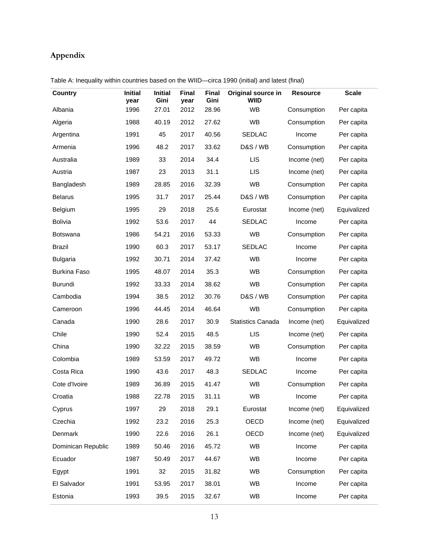### **Appendix**

| Country             | <b>Initial</b><br>year | <b>Initial</b><br>Gini | <b>Final</b><br>year | <b>Final</b><br>Gini | Original source in<br>WIID | <b>Resource</b> | <b>Scale</b> |
|---------------------|------------------------|------------------------|----------------------|----------------------|----------------------------|-----------------|--------------|
| Albania             | 1996                   | 27.01                  | 2012                 | 28.96                | <b>WB</b>                  | Consumption     | Per capita   |
| Algeria             | 1988                   | 40.19                  | 2012                 | 27.62                | WB                         | Consumption     | Per capita   |
| Argentina           | 1991                   | 45                     | 2017                 | 40.56                | <b>SEDLAC</b>              | Income          | Per capita   |
| Armenia             | 1996                   | 48.2                   | 2017                 | 33.62                | <b>D&amp;S / WB</b>        | Consumption     | Per capita   |
| Australia           | 1989                   | 33                     | 2014                 | 34.4                 | <b>LIS</b>                 | Income (net)    | Per capita   |
| Austria             | 1987                   | 23                     | 2013                 | 31.1                 | <b>LIS</b>                 | Income (net)    | Per capita   |
| Bangladesh          | 1989                   | 28.85                  | 2016                 | 32.39                | WB                         | Consumption     | Per capita   |
| <b>Belarus</b>      | 1995                   | 31.7                   | 2017                 | 25.44                | <b>D&amp;S / WB</b>        | Consumption     | Per capita   |
| <b>Belgium</b>      | 1995                   | 29                     | 2018                 | 25.6                 | Eurostat                   | Income (net)    | Equivalized  |
| <b>Bolivia</b>      | 1992                   | 53.6                   | 2017                 | 44                   | <b>SEDLAC</b>              | Income          | Per capita   |
| Botswana            | 1986                   | 54.21                  | 2016                 | 53.33                | <b>WB</b>                  | Consumption     | Per capita   |
| Brazil              | 1990                   | 60.3                   | 2017                 | 53.17                | <b>SEDLAC</b>              | Income          | Per capita   |
| <b>Bulgaria</b>     | 1992                   | 30.71                  | 2014                 | 37.42                | <b>WB</b>                  | Income          | Per capita   |
| <b>Burkina Faso</b> | 1995                   | 48.07                  | 2014                 | 35.3                 | <b>WB</b>                  | Consumption     | Per capita   |
| <b>Burundi</b>      | 1992                   | 33.33                  | 2014                 | 38.62                | WB                         | Consumption     | Per capita   |
| Cambodia            | 1994                   | 38.5                   | 2012                 | 30.76                | <b>D&amp;S / WB</b>        | Consumption     | Per capita   |
| Cameroon            | 1996                   | 44.45                  | 2014                 | 46.64                | <b>WB</b>                  | Consumption     | Per capita   |
| Canada              | 1990                   | 28.6                   | 2017                 | 30.9                 | <b>Statistics Canada</b>   | Income (net)    | Equivalized  |
| Chile               | 1990                   | 52.4                   | 2015                 | 48.5                 | <b>LIS</b>                 | Income (net)    | Per capita   |
| China               | 1990                   | 32.22                  | 2015                 | 38.59                | <b>WB</b>                  | Consumption     | Per capita   |
| Colombia            | 1989                   | 53.59                  | 2017                 | 49.72                | WB                         | Income          | Per capita   |
| Costa Rica          | 1990                   | 43.6                   | 2017                 | 48.3                 | <b>SEDLAC</b>              | Income          | Per capita   |
| Cote d'Ivoire       | 1989                   | 36.89                  | 2015                 | 41.47                | <b>WB</b>                  | Consumption     | Per capita   |
| Croatia             | 1988                   | 22.78                  | 2015                 | 31.11                | <b>WB</b>                  | Income          | Per capita   |
| Cyprus              | 1997                   | 29                     | 2018                 | 29.1                 | Eurostat                   | Income (net)    | Equivalized  |
| Czechia             | 1992                   | 23.2                   | 2016                 | 25.3                 | OECD                       | Income (net)    | Equivalized  |
| Denmark             | 1990                   | 22.6                   | 2016                 | 26.1                 | OECD                       | Income (net)    | Equivalized  |
| Dominican Republic  | 1989                   | 50.46                  | 2016                 | 45.72                | WB                         | Income          | Per capita   |
| Ecuador             | 1987                   | 50.49                  | 2017                 | 44.67                | WB                         | Income          | Per capita   |
| Egypt               | 1991                   | 32                     | 2015                 | 31.82                | WB                         | Consumption     | Per capita   |
| El Salvador         | 1991                   | 53.95                  | 2017                 | 38.01                | WB                         | Income          | Per capita   |
| Estonia             | 1993                   | 39.5                   | 2015                 | 32.67                | WB                         | Income          | Per capita   |

Table A: Inequality within countries based on the WIID—circa 1990 (initial) and latest (final)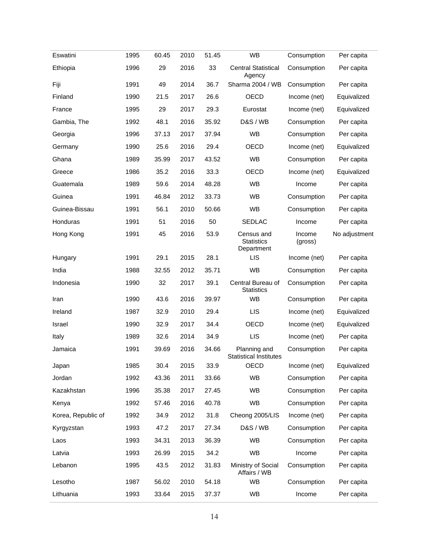| Eswatini           | 1995 | 60.45 | 2010 | 51.45 | WB                                            | Consumption       | Per capita    |
|--------------------|------|-------|------|-------|-----------------------------------------------|-------------------|---------------|
| Ethiopia           | 1996 | 29    | 2016 | 33    | <b>Central Statistical</b><br>Agency          | Consumption       | Per capita    |
| Fiji               | 1991 | 49    | 2014 | 36.7  | Sharma 2004 / WB                              | Consumption       | Per capita    |
| Finland            | 1990 | 21.5  | 2017 | 26.6  | <b>OECD</b>                                   | Income (net)      | Equivalized   |
| France             | 1995 | 29    | 2017 | 29.3  | Eurostat                                      | Income (net)      | Equivalized   |
| Gambia, The        | 1992 | 48.1  | 2016 | 35.92 | <b>D&amp;S / WB</b>                           | Consumption       | Per capita    |
| Georgia            | 1996 | 37.13 | 2017 | 37.94 | <b>WB</b>                                     | Consumption       | Per capita    |
| Germany            | 1990 | 25.6  | 2016 | 29.4  | <b>OECD</b>                                   | Income (net)      | Equivalized   |
| Ghana              | 1989 | 35.99 | 2017 | 43.52 | <b>WB</b>                                     | Consumption       | Per capita    |
| Greece             | 1986 | 35.2  | 2016 | 33.3  | <b>OECD</b>                                   | Income (net)      | Equivalized   |
| Guatemala          | 1989 | 59.6  | 2014 | 48.28 | <b>WB</b>                                     | Income            | Per capita    |
| Guinea             | 1991 | 46.84 | 2012 | 33.73 | WB                                            | Consumption       | Per capita    |
| Guinea-Bissau      | 1991 | 56.1  | 2010 | 50.66 | <b>WB</b>                                     | Consumption       | Per capita    |
| Honduras           | 1991 | 51    | 2016 | 50    | SEDLAC                                        | Income            | Per capita    |
| Hong Kong          | 1991 | 45    | 2016 | 53.9  | Census and<br><b>Statistics</b><br>Department | Income<br>(gross) | No adjustment |
| Hungary            | 1991 | 29.1  | 2015 | 28.1  | <b>LIS</b>                                    | Income (net)      | Per capita    |
| India              | 1988 | 32.55 | 2012 | 35.71 | <b>WB</b>                                     | Consumption       | Per capita    |
| Indonesia          | 1990 | 32    | 2017 | 39.1  | Central Bureau of<br><b>Statistics</b>        | Consumption       | Per capita    |
| Iran               | 1990 | 43.6  | 2016 | 39.97 | <b>WB</b>                                     | Consumption       | Per capita    |
| Ireland            | 1987 | 32.9  | 2010 | 29.4  | <b>LIS</b>                                    | Income (net)      | Equivalized   |
| Israel             | 1990 | 32.9  | 2017 | 34.4  | <b>OECD</b>                                   | Income (net)      | Equivalized   |
| Italy              | 1989 | 32.6  | 2014 | 34.9  | <b>LIS</b>                                    | Income (net)      | Per capita    |
| Jamaica            | 1991 | 39.69 | 2016 | 34.66 | Planning and<br><b>Statistical Institutes</b> | Consumption       | Per capita    |
| Japan              | 1985 | 30.4  | 2015 | 33.9  | OECD                                          | Income (net)      | Equivalized   |
| Jordan             | 1992 | 43.36 | 2011 | 33.66 | <b>WB</b>                                     | Consumption       | Per capita    |
| Kazakhstan         | 1996 | 35.38 | 2017 | 27.45 | WB                                            | Consumption       | Per capita    |
| Kenya              | 1992 | 57.46 | 2016 | 40.78 | WB                                            | Consumption       | Per capita    |
| Korea, Republic of | 1992 | 34.9  | 2012 | 31.8  | Cheong 2005/LIS                               | Income (net)      | Per capita    |
| Kyrgyzstan         | 1993 | 47.2  | 2017 | 27.34 | <b>D&amp;S / WB</b>                           | Consumption       | Per capita    |
| Laos               | 1993 | 34.31 | 2013 | 36.39 | <b>WB</b>                                     | Consumption       | Per capita    |
| Latvia             | 1993 | 26.99 | 2015 | 34.2  | WB                                            | Income            | Per capita    |
| Lebanon            | 1995 | 43.5  | 2012 | 31.83 | Ministry of Social<br>Affairs / WB            | Consumption       | Per capita    |
| Lesotho            | 1987 | 56.02 | 2010 | 54.18 | <b>WB</b>                                     | Consumption       | Per capita    |
| Lithuania          | 1993 | 33.64 | 2015 | 37.37 | WB                                            | Income            | Per capita    |
|                    |      |       |      |       |                                               |                   |               |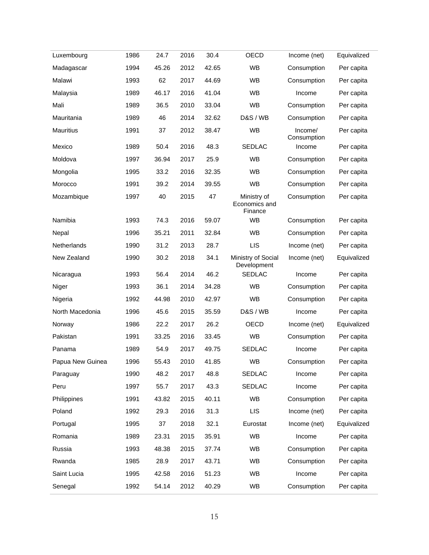| Luxembourg       | 1986 | 24.7  | 2016 | 30.4  | OECD                                    | Income (net)           | Equivalized |
|------------------|------|-------|------|-------|-----------------------------------------|------------------------|-------------|
| Madagascar       | 1994 | 45.26 | 2012 | 42.65 | <b>WB</b>                               | Consumption            | Per capita  |
| Malawi           | 1993 | 62    | 2017 | 44.69 | WB                                      | Consumption            | Per capita  |
| Malaysia         | 1989 | 46.17 | 2016 | 41.04 | <b>WB</b>                               | Income                 | Per capita  |
| Mali             | 1989 | 36.5  | 2010 | 33.04 | WB                                      | Consumption            | Per capita  |
| Mauritania       | 1989 | 46    | 2014 | 32.62 | <b>D&amp;S / WB</b>                     | Consumption            | Per capita  |
| Mauritius        | 1991 | 37    | 2012 | 38.47 | WB                                      | Income/<br>Consumption | Per capita  |
| Mexico           | 1989 | 50.4  | 2016 | 48.3  | <b>SEDLAC</b>                           | Income                 | Per capita  |
| Moldova          | 1997 | 36.94 | 2017 | 25.9  | <b>WB</b>                               | Consumption            | Per capita  |
| Mongolia         | 1995 | 33.2  | 2016 | 32.35 | WB                                      | Consumption            | Per capita  |
| Morocco          | 1991 | 39.2  | 2014 | 39.55 | WB                                      | Consumption            | Per capita  |
| Mozambique       | 1997 | 40    | 2015 | 47    | Ministry of<br>Economics and<br>Finance | Consumption            | Per capita  |
| Namibia          | 1993 | 74.3  | 2016 | 59.07 | <b>WB</b>                               | Consumption            | Per capita  |
| Nepal            | 1996 | 35.21 | 2011 | 32.84 | <b>WB</b>                               | Consumption            | Per capita  |
| Netherlands      | 1990 | 31.2  | 2013 | 28.7  | <b>LIS</b>                              | Income (net)           | Per capita  |
| New Zealand      | 1990 | 30.2  | 2018 | 34.1  | Ministry of Social<br>Development       | Income (net)           | Equivalized |
| Nicaragua        | 1993 | 56.4  | 2014 | 46.2  | <b>SEDLAC</b>                           | Income                 | Per capita  |
| Niger            | 1993 | 36.1  | 2014 | 34.28 | <b>WB</b>                               | Consumption            | Per capita  |
| Nigeria          | 1992 | 44.98 | 2010 | 42.97 | WB                                      | Consumption            | Per capita  |
| North Macedonia  | 1996 | 45.6  | 2015 | 35.59 | <b>D&amp;S / WB</b>                     | Income                 | Per capita  |
| Norway           | 1986 | 22.2  | 2017 | 26.2  | <b>OECD</b>                             | Income (net)           | Equivalized |
| Pakistan         | 1991 | 33.25 | 2016 | 33.45 | WB                                      | Consumption            | Per capita  |
| Panama           | 1989 | 54.9  | 2017 | 49.75 | <b>SEDLAC</b>                           | Income                 | Per capita  |
| Papua New Guinea | 1996 | 55.43 | 2010 | 41.85 | WB                                      | Consumption            | Per capita  |
| Paraguay         | 1990 | 48.2  | 2017 | 48.8  | SEDLAC                                  | Income                 | Per capita  |
| Peru             | 1997 | 55.7  | 2017 | 43.3  | <b>SEDLAC</b>                           | Income                 | Per capita  |
| Philippines      | 1991 | 43.82 | 2015 | 40.11 | <b>WB</b>                               | Consumption            | Per capita  |
| Poland           | 1992 | 29.3  | 2016 | 31.3  | <b>LIS</b>                              | Income (net)           | Per capita  |
| Portugal         | 1995 | 37    | 2018 | 32.1  | Eurostat                                | Income (net)           | Equivalized |
| Romania          | 1989 | 23.31 | 2015 | 35.91 | <b>WB</b>                               | Income                 | Per capita  |
| Russia           | 1993 | 48.38 | 2015 | 37.74 | WB                                      | Consumption            | Per capita  |
| Rwanda           | 1985 | 28.9  | 2017 | 43.71 | WB                                      | Consumption            | Per capita  |
| Saint Lucia      | 1995 | 42.58 | 2016 | 51.23 | <b>WB</b>                               | Income                 | Per capita  |
| Senegal          | 1992 | 54.14 | 2012 | 40.29 | WB                                      | Consumption            | Per capita  |
|                  |      |       |      |       |                                         |                        |             |